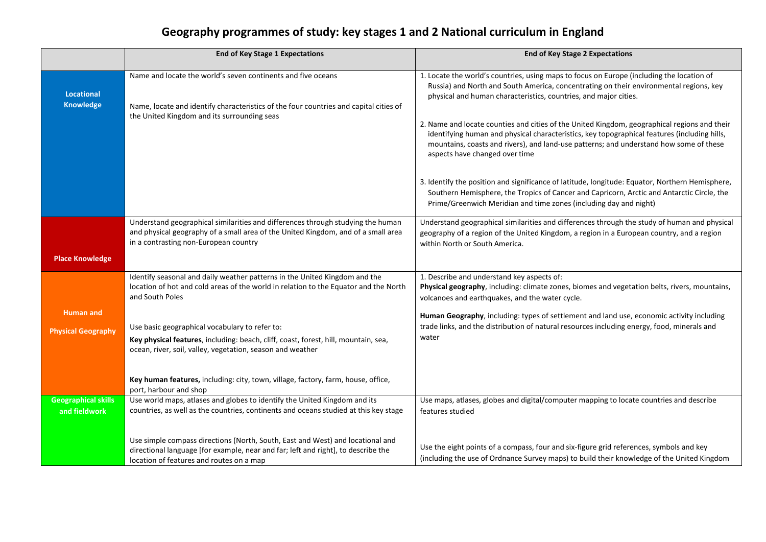## **Geography programmes of study: key stages 1 and 2 National curriculum in England**

|                                             | <b>End of Key Stage 1 Expectations</b>                                                                                                                                                                          | <b>End of Key Stage 2 Expectations</b>                                                                                                                                                                                                                                                                                                                  |
|---------------------------------------------|-----------------------------------------------------------------------------------------------------------------------------------------------------------------------------------------------------------------|---------------------------------------------------------------------------------------------------------------------------------------------------------------------------------------------------------------------------------------------------------------------------------------------------------------------------------------------------------|
| <b>Locational</b><br><b>Knowledge</b>       | Name and locate the world's seven continents and five oceans<br>Name, locate and identify characteristics of the four countries and capital cities of<br>the United Kingdom and its surrounding seas            | 1. Locate the world's countries, using maps to focus on Europe (including the location of<br>Russia) and North and South America, concentrating on their environmental regions, key<br>physical and human characteristics, countries, and major cities.<br>2. Name and locate counties and cities of the United Kingdom, geographical regions and their |
|                                             |                                                                                                                                                                                                                 | identifying human and physical characteristics, key topographical features (including hills,<br>mountains, coasts and rivers), and land-use patterns; and understand how some of these<br>aspects have changed over time                                                                                                                                |
|                                             |                                                                                                                                                                                                                 | 3. Identify the position and significance of latitude, longitude: Equator, Northern Hemisphere,<br>Southern Hemisphere, the Tropics of Cancer and Capricorn, Arctic and Antarctic Circle, the<br>Prime/Greenwich Meridian and time zones (including day and night)                                                                                      |
|                                             | Understand geographical similarities and differences through studying the human<br>and physical geography of a small area of the United Kingdom, and of a small area<br>in a contrasting non-European country   | Understand geographical similarities and differences through the study of human and physical<br>geography of a region of the United Kingdom, a region in a European country, and a region<br>within North or South America.                                                                                                                             |
| <b>Place Knowledge</b>                      |                                                                                                                                                                                                                 |                                                                                                                                                                                                                                                                                                                                                         |
|                                             | Identify seasonal and daily weather patterns in the United Kingdom and the<br>location of hot and cold areas of the world in relation to the Equator and the North<br>and South Poles                           | 1. Describe and understand key aspects of:<br>Physical geography, including: climate zones, biomes and vegetation belts, rivers, mountains,<br>volcanoes and earthquakes, and the water cycle.                                                                                                                                                          |
| <b>Human and</b>                            |                                                                                                                                                                                                                 | Human Geography, including: types of settlement and land use, economic activity including                                                                                                                                                                                                                                                               |
| <b>Physical Geography</b>                   | Use basic geographical vocabulary to refer to:                                                                                                                                                                  | trade links, and the distribution of natural resources including energy, food, minerals and                                                                                                                                                                                                                                                             |
|                                             | Key physical features, including: beach, cliff, coast, forest, hill, mountain, sea,<br>ocean, river, soil, valley, vegetation, season and weather                                                               | water                                                                                                                                                                                                                                                                                                                                                   |
|                                             | Key human features, including: city, town, village, factory, farm, house, office,<br>port, harbour and shop                                                                                                     |                                                                                                                                                                                                                                                                                                                                                         |
| <b>Geographical skills</b><br>and fieldwork | Use world maps, atlases and globes to identify the United Kingdom and its<br>countries, as well as the countries, continents and oceans studied at this key stage                                               | Use maps, atlases, globes and digital/computer mapping to locate countries and describe<br>features studied                                                                                                                                                                                                                                             |
|                                             |                                                                                                                                                                                                                 |                                                                                                                                                                                                                                                                                                                                                         |
|                                             | Use simple compass directions (North, South, East and West) and locational and<br>directional language [for example, near and far; left and right], to describe the<br>location of features and routes on a map | Use the eight points of a compass, four and six-figure grid references, symbols and key<br>(including the use of Ordnance Survey maps) to build their knowledge of the United Kingdom                                                                                                                                                                   |